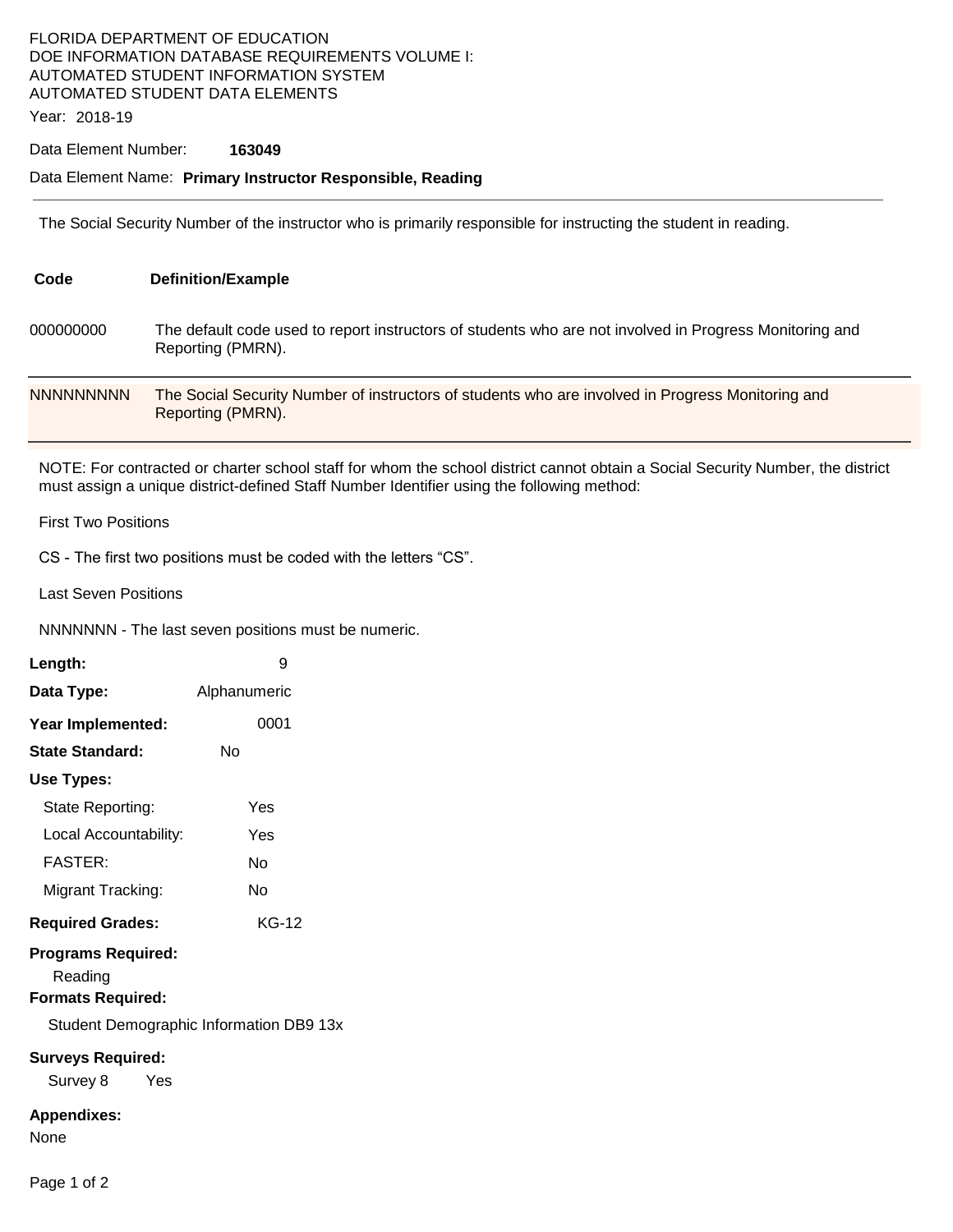## FLORIDA DEPARTMENT OF EDUCATION DOE INFORMATION DATABASE REQUIREMENTS VOLUME I: AUTOMATED STUDENT INFORMATION SYSTEM AUTOMATED STUDENT DATA ELEMENTS

Year: 2018-19

### Data Element Number: **163049**

#### Data Element Name: **Primary Instructor Responsible, Reading**

The Social Security Number of the instructor who is primarily responsible for instructing the student in reading.

| Code             | <b>Definition/Example</b>                                                                                                    |
|------------------|------------------------------------------------------------------------------------------------------------------------------|
| 000000000        | The default code used to report instructors of students who are not involved in Progress Monitoring and<br>Reporting (PMRN). |
| <b>NNNNNNNNN</b> | The Social Security Number of instructors of students who are involved in Progress Monitoring and<br>Reporting (PMRN).       |

NOTE: For contracted or charter school staff for whom the school district cannot obtain a Social Security Number, the district must assign a unique district-defined Staff Number Identifier using the following method:

First Two Positions

CS - The first two positions must be coded with the letters "CS".

Last Seven Positions

NNNNNNN - The last seven positions must be numeric.

| Length:                                                          | 9            |  |  |
|------------------------------------------------------------------|--------------|--|--|
| Data Type:                                                       | Alphanumeric |  |  |
| Year Implemented:                                                | 0001         |  |  |
| <b>State Standard:</b>                                           | Nο           |  |  |
| Use Types:                                                       |              |  |  |
| State Reporting:                                                 | Yes          |  |  |
| Local Accountability:                                            | Yes          |  |  |
| <b>FASTER:</b>                                                   | N٥           |  |  |
| Migrant Tracking:                                                | N٥           |  |  |
| <b>Required Grades:</b>                                          | KG-12        |  |  |
| <b>Programs Required:</b><br>Reading<br><b>Formats Required:</b> |              |  |  |
| Student Demographic Information DB9 13x                          |              |  |  |
| <b>Surveys Required:</b><br>Survey 8 Yes                         |              |  |  |
| <b>Appendixes:</b><br>None                                       |              |  |  |